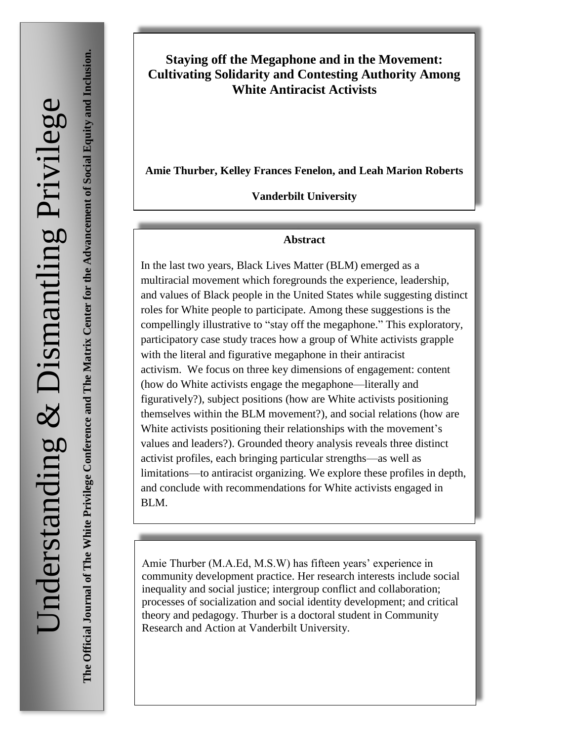**The Matrix Center for the Advancement of Social Equity and Inclusion.**The Official Journal of The White Privilege Conference and The Matrix Center for the Advancement of Social Equity and Inclusion. **The Official Journal of The White Privilege Conference and**

# **Staying off the Megaphone and in the Movement: Cultivating Solidarity and Contesting Authority Among White Antiracist Activists**

**Amie Thurber, Kelley Frances Fenelon, and Leah Marion Roberts**

**Vanderbilt University**

#### **Abstract**

In the last two years, Black Lives Matter (BLM) emerged as a multiracial movement which foregrounds the experience, leadership, and values of Black people in the United States while suggesting distinct roles for White people to participate. Among these suggestions is the compellingly illustrative to "stay off the megaphone." This exploratory, participatory case study traces how a group of White activists grapple with the literal and figurative megaphone in their antiracist activism. We focus on three key dimensions of engagement: content (how do White activists engage the megaphone—literally and figuratively?), subject positions (how are White activists positioning themselves within the BLM movement?), and social relations (how are White activists positioning their relationships with the movement's values and leaders?). Grounded theory analysis reveals three distinct activist profiles, each bringing particular strengths—as well as limitations—to antiracist organizing. We explore these profiles in depth, and conclude with recommendations for White activists engaged in BLM.

Amie Thurber (M.A.Ed, M.S.W) has fifteen years' experience in community development practice. Her research interests include social inequality and social justice; intergroup conflict and collaboration; processes of socialization and social identity development; and critical theory and pedagogy. Thurber is a doctoral student in Community Research and Action at Vanderbilt University.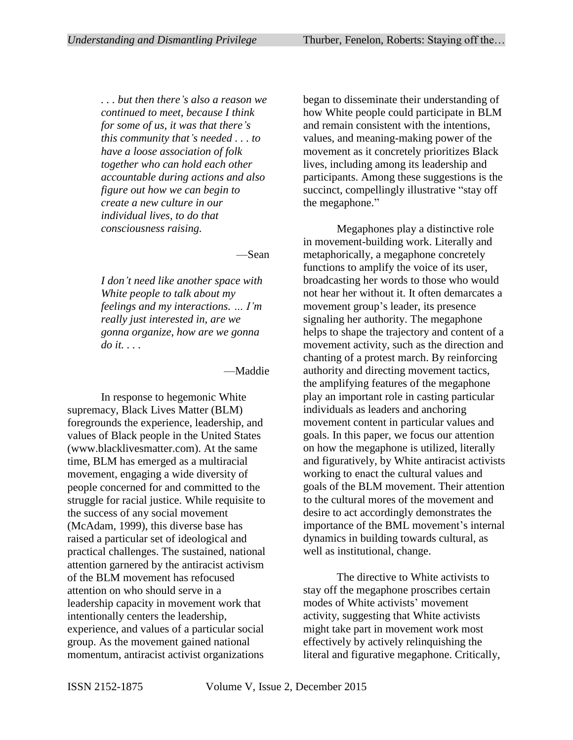*. . . but then there's also a reason we continued to meet, because I think for some of us, it was that there's this community that's needed . . . to have a loose association of folk together who can hold each other accountable during actions and also figure out how we can begin to create a new culture in our individual lives, to do that consciousness raising.*

—Sean

*I don't need like another space with White people to talk about my feelings and my interactions. … I'm really just interested in, are we gonna organize, how are we gonna do it. . . .* 

#### —Maddie

In response to hegemonic White supremacy, Black Lives Matter (BLM) foregrounds the experience, leadership, and values of Black people in the United States (www.blacklivesmatter.com). At the same time, BLM has emerged as a multiracial movement, engaging a wide diversity of people concerned for and committed to the struggle for racial justice. While requisite to the success of any social movement (McAdam, 1999), this diverse base has raised a particular set of ideological and practical challenges. The sustained, national attention garnered by the antiracist activism of the BLM movement has refocused attention on who should serve in a leadership capacity in movement work that intentionally centers the leadership, experience, and values of a particular social group. As the movement gained national momentum, antiracist activist organizations

began to disseminate their understanding of how White people could participate in BLM and remain consistent with the intentions, values, and meaning-making power of the movement as it concretely prioritizes Black lives, including among its leadership and participants. Among these suggestions is the succinct, compellingly illustrative "stay off the megaphone."

Megaphones play a distinctive role in movement-building work. Literally and metaphorically, a megaphone concretely functions to amplify the voice of its user, broadcasting her words to those who would not hear her without it. It often demarcates a movement group's leader, its presence signaling her authority. The megaphone helps to shape the trajectory and content of a movement activity, such as the direction and chanting of a protest march. By reinforcing authority and directing movement tactics, the amplifying features of the megaphone play an important role in casting particular individuals as leaders and anchoring movement content in particular values and goals. In this paper, we focus our attention on how the megaphone is utilized, literally and figuratively, by White antiracist activists working to enact the cultural values and goals of the BLM movement. Their attention to the cultural mores of the movement and desire to act accordingly demonstrates the importance of the BML movement's internal dynamics in building towards cultural, as well as institutional, change.

The directive to White activists to stay off the megaphone proscribes certain modes of White activists' movement activity, suggesting that White activists might take part in movement work most effectively by actively relinquishing the literal and figurative megaphone. Critically,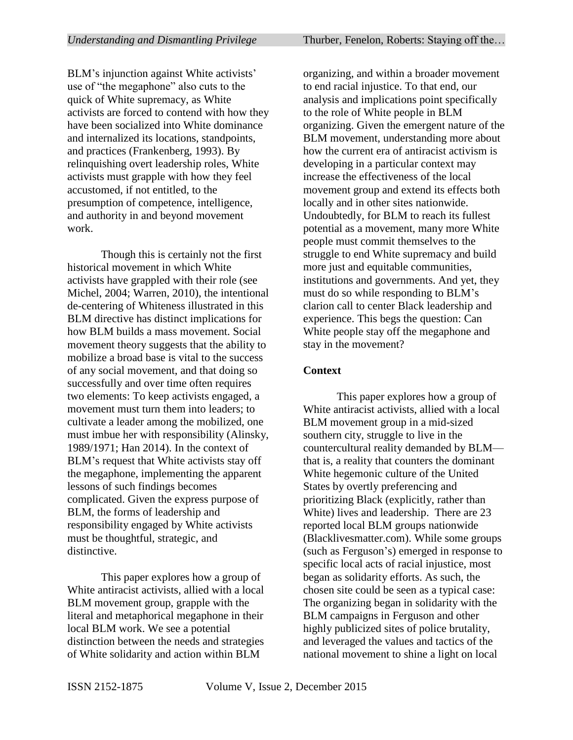BLM's injunction against White activists' use of "the megaphone" also cuts to the quick of White supremacy, as White activists are forced to contend with how they have been socialized into White dominance and internalized its locations, standpoints, and practices (Frankenberg, 1993). By relinquishing overt leadership roles, White activists must grapple with how they feel accustomed, if not entitled, to the presumption of competence, intelligence, and authority in and beyond movement work.

Though this is certainly not the first historical movement in which White activists have grappled with their role (see Michel, 2004; Warren, 2010), the intentional de-centering of Whiteness illustrated in this BLM directive has distinct implications for how BLM builds a mass movement. Social movement theory suggests that the ability to mobilize a broad base is vital to the success of any social movement, and that doing so successfully and over time often requires two elements: To keep activists engaged, a movement must turn them into leaders; to cultivate a leader among the mobilized, one must imbue her with responsibility (Alinsky, 1989/1971; Han 2014). In the context of BLM's request that White activists stay off the megaphone, implementing the apparent lessons of such findings becomes complicated. Given the express purpose of BLM, the forms of leadership and responsibility engaged by White activists must be thoughtful, strategic, and distinctive.

This paper explores how a group of White antiracist activists, allied with a local BLM movement group, grapple with the literal and metaphorical megaphone in their local BLM work. We see a potential distinction between the needs and strategies of White solidarity and action within BLM

organizing, and within a broader movement to end racial injustice. To that end, our analysis and implications point specifically to the role of White people in BLM organizing. Given the emergent nature of the BLM movement, understanding more about how the current era of antiracist activism is developing in a particular context may increase the effectiveness of the local movement group and extend its effects both locally and in other sites nationwide. Undoubtedly, for BLM to reach its fullest potential as a movement, many more White people must commit themselves to the struggle to end White supremacy and build more just and equitable communities, institutions and governments. And yet, they must do so while responding to BLM's clarion call to center Black leadership and experience. This begs the question: Can White people stay off the megaphone and stay in the movement?

#### **Context**

This paper explores how a group of White antiracist activists, allied with a local BLM movement group in a mid-sized southern city, struggle to live in the countercultural reality demanded by BLM that is, a reality that counters the dominant White hegemonic culture of the United States by overtly preferencing and prioritizing Black (explicitly, rather than White) lives and leadership. There are 23 reported local BLM groups nationwide (Blacklivesmatter.com). While some groups (such as Ferguson's) emerged in response to specific local acts of racial injustice, most began as solidarity efforts. As such, the chosen site could be seen as a typical case: The organizing began in solidarity with the BLM campaigns in Ferguson and other highly publicized sites of police brutality, and leveraged the values and tactics of the national movement to shine a light on local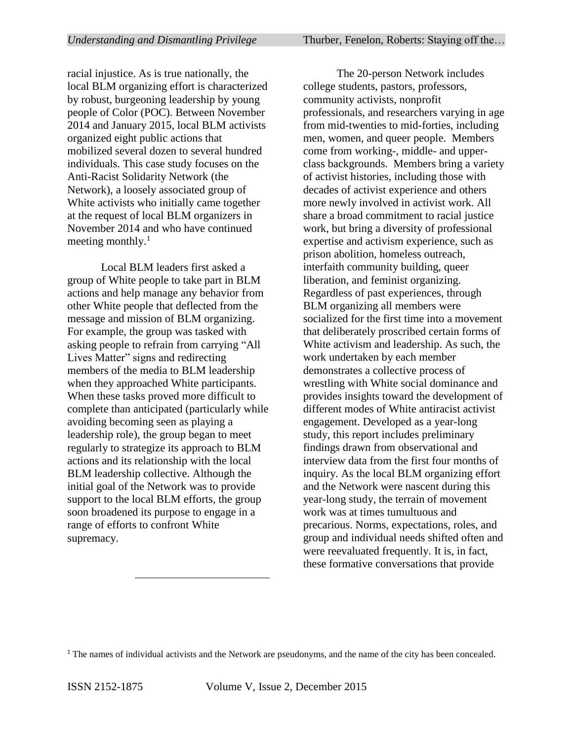racial injustice. As is true nationally, the local BLM organizing effort is characterized by robust, burgeoning leadership by young people of Color (POC). Between November 2014 and January 2015, local BLM activists organized eight public actions that mobilized several dozen to several hundred individuals. This case study focuses on the Anti-Racist Solidarity Network (the Network), a loosely associated group of White activists who initially came together at the request of local BLM organizers in November 2014 and who have continued meeting monthly.<sup>1</sup>

Local BLM leaders first asked a group of White people to take part in BLM actions and help manage any behavior from other White people that deflected from the message and mission of BLM organizing. For example, the group was tasked with asking people to refrain from carrying "All Lives Matter" signs and redirecting members of the media to BLM leadership when they approached White participants. When these tasks proved more difficult to complete than anticipated (particularly while avoiding becoming seen as playing a leadership role), the group began to meet regularly to strategize its approach to BLM actions and its relationship with the local BLM leadership collective. Although the initial goal of the Network was to provide support to the local BLM efforts, the group soon broadened its purpose to engage in a range of efforts to confront White supremacy.

The 20-person Network includes college students, pastors, professors, community activists, nonprofit professionals, and researchers varying in age from mid-twenties to mid-forties, including men, women, and queer people. Members come from working-, middle- and upperclass backgrounds. Members bring a variety of activist histories, including those with decades of activist experience and others more newly involved in activist work. All share a broad commitment to racial justice work, but bring a diversity of professional expertise and activism experience, such as prison abolition, homeless outreach, interfaith community building, queer liberation, and feminist organizing. Regardless of past experiences, through BLM organizing all members were socialized for the first time into a movement that deliberately proscribed certain forms of White activism and leadership. As such, the work undertaken by each member demonstrates a collective process of wrestling with White social dominance and provides insights toward the development of different modes of White antiracist activist engagement. Developed as a year-long study, this report includes preliminary findings drawn from observational and interview data from the first four months of inquiry. As the local BLM organizing effort and the Network were nascent during this year-long study, the terrain of movement work was at times tumultuous and precarious. Norms, expectations, roles, and group and individual needs shifted often and were reevaluated frequently. It is, in fact, these formative conversations that provide

 $\overline{a}$ 

<sup>&</sup>lt;sup>1</sup> The names of individual activists and the Network are pseudonyms, and the name of the city has been concealed.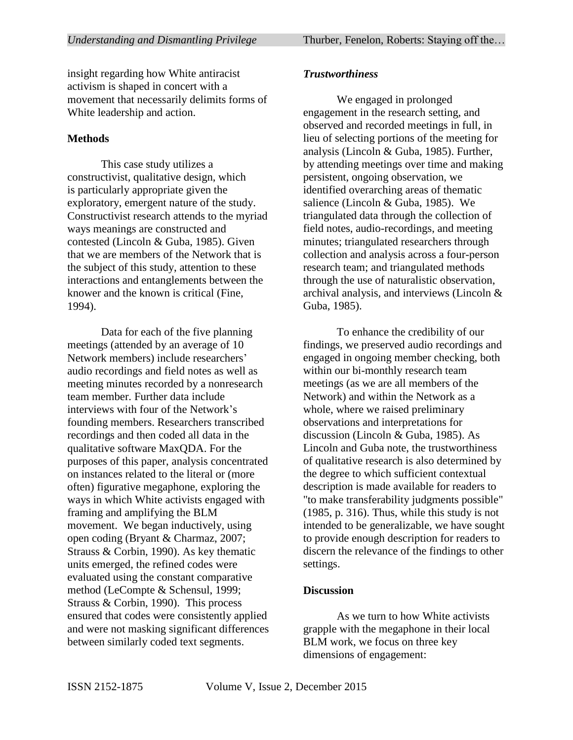insight regarding how White antiracist activism is shaped in concert with a movement that necessarily delimits forms of White leadership and action.

# **Methods**

This case study utilizes a constructivist, qualitative design, which is particularly appropriate given the exploratory, emergent nature of the study. Constructivist research attends to the myriad ways meanings are constructed and contested (Lincoln & Guba, 1985). Given that we are members of the Network that is the subject of this study, attention to these interactions and entanglements between the knower and the known is critical (Fine, 1994).

Data for each of the five planning meetings (attended by an average of 10 Network members) include researchers' audio recordings and field notes as well as meeting minutes recorded by a nonresearch team member. Further data include interviews with four of the Network's founding members. Researchers transcribed recordings and then coded all data in the qualitative software MaxQDA. For the purposes of this paper, analysis concentrated on instances related to the literal or (more often) figurative megaphone, exploring the ways in which White activists engaged with framing and amplifying the BLM movement. We began inductively, using open coding (Bryant & Charmaz, 2007; Strauss & Corbin, 1990). As key thematic units emerged, the refined codes were evaluated using the constant comparative method (LeCompte & Schensul, 1999; Strauss & Corbin, 1990). This process ensured that codes were consistently applied and were not masking significant differences between similarly coded text segments.

# *Trustworthiness*

We engaged in prolonged engagement in the research setting, and observed and recorded meetings in full, in lieu of selecting portions of the meeting for analysis (Lincoln & Guba, 1985). Further, by attending meetings over time and making persistent, ongoing observation, we identified overarching areas of thematic salience (Lincoln & Guba, 1985). We triangulated data through the collection of field notes, audio-recordings, and meeting minutes; triangulated researchers through collection and analysis across a four-person research team; and triangulated methods through the use of naturalistic observation, archival analysis, and interviews (Lincoln & Guba, 1985).

To enhance the credibility of our findings, we preserved audio recordings and engaged in ongoing member checking, both within our bi-monthly research team meetings (as we are all members of the Network) and within the Network as a whole, where we raised preliminary observations and interpretations for discussion (Lincoln & Guba, 1985). As Lincoln and Guba note, the trustworthiness of qualitative research is also determined by the degree to which sufficient contextual description is made available for readers to "to make transferability judgments possible" (1985, p. 316). Thus, while this study is not intended to be generalizable, we have sought to provide enough description for readers to discern the relevance of the findings to other settings.

#### **Discussion**

As we turn to how White activists grapple with the megaphone in their local BLM work, we focus on three key dimensions of engagement: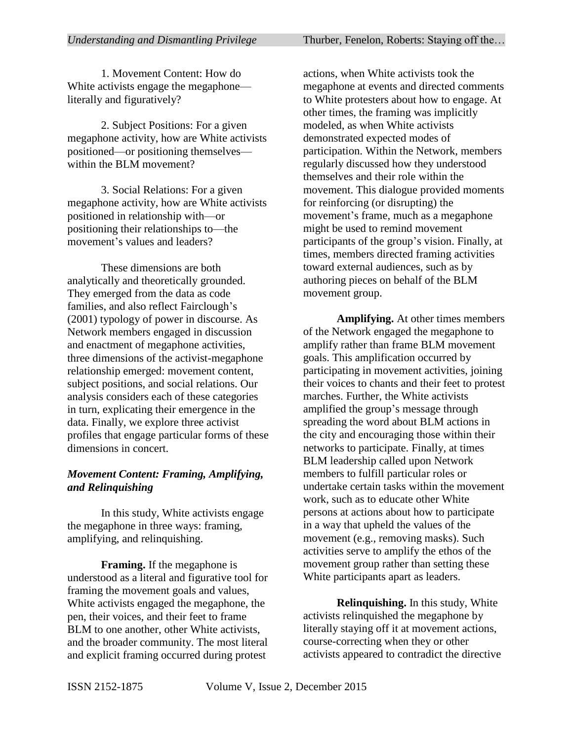1. Movement Content: How do White activists engage the megaphone literally and figuratively?

2. Subject Positions: For a given megaphone activity, how are White activists positioned—or positioning themselves within the BLM movement?

3. Social Relations: For a given megaphone activity, how are White activists positioned in relationship with—or positioning their relationships to—the movement's values and leaders?

These dimensions are both analytically and theoretically grounded. They emerged from the data as code families, and also reflect Fairclough's (2001) typology of power in discourse. As Network members engaged in discussion and enactment of megaphone activities, three dimensions of the activist-megaphone relationship emerged: movement content, subject positions, and social relations. Our analysis considers each of these categories in turn, explicating their emergence in the data. Finally, we explore three activist profiles that engage particular forms of these dimensions in concert.

# *Movement Content: Framing, Amplifying, and Relinquishing*

In this study, White activists engage the megaphone in three ways: framing, amplifying, and relinquishing.

**Framing.** If the megaphone is understood as a literal and figurative tool for framing the movement goals and values, White activists engaged the megaphone, the pen, their voices, and their feet to frame BLM to one another, other White activists. and the broader community. The most literal and explicit framing occurred during protest

actions, when White activists took the megaphone at events and directed comments to White protesters about how to engage. At other times, the framing was implicitly modeled, as when White activists demonstrated expected modes of participation. Within the Network, members regularly discussed how they understood themselves and their role within the movement. This dialogue provided moments for reinforcing (or disrupting) the movement's frame, much as a megaphone might be used to remind movement participants of the group's vision. Finally, at times, members directed framing activities toward external audiences, such as by authoring pieces on behalf of the BLM movement group.

**Amplifying.** At other times members of the Network engaged the megaphone to amplify rather than frame BLM movement goals. This amplification occurred by participating in movement activities, joining their voices to chants and their feet to protest marches. Further, the White activists amplified the group's message through spreading the word about BLM actions in the city and encouraging those within their networks to participate. Finally, at times BLM leadership called upon Network members to fulfill particular roles or undertake certain tasks within the movement work, such as to educate other White persons at actions about how to participate in a way that upheld the values of the movement (e.g., removing masks). Such activities serve to amplify the ethos of the movement group rather than setting these White participants apart as leaders.

**Relinquishing.** In this study, White activists relinquished the megaphone by literally staying off it at movement actions, course-correcting when they or other activists appeared to contradict the directive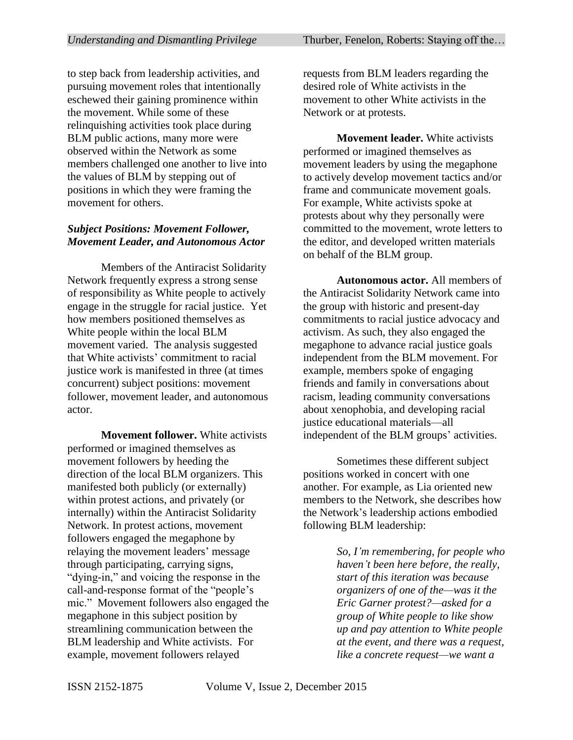to step back from leadership activities, and pursuing movement roles that intentionally eschewed their gaining prominence within the movement. While some of these relinquishing activities took place during BLM public actions, many more were observed within the Network as some members challenged one another to live into the values of BLM by stepping out of positions in which they were framing the movement for others.

#### *Subject Positions: Movement Follower, Movement Leader, and Autonomous Actor*

Members of the Antiracist Solidarity Network frequently express a strong sense of responsibility as White people to actively engage in the struggle for racial justice. Yet how members positioned themselves as White people within the local BLM movement varied. The analysis suggested that White activists' commitment to racial justice work is manifested in three (at times concurrent) subject positions: movement follower, movement leader, and autonomous actor.

**Movement follower.** White activists performed or imagined themselves as movement followers by heeding the direction of the local BLM organizers. This manifested both publicly (or externally) within protest actions, and privately (or internally) within the Antiracist Solidarity Network. In protest actions, movement followers engaged the megaphone by relaying the movement leaders' message through participating, carrying signs, "dying-in," and voicing the response in the call-and-response format of the "people's mic." Movement followers also engaged the megaphone in this subject position by streamlining communication between the BLM leadership and White activists. For example, movement followers relayed

requests from BLM leaders regarding the desired role of White activists in the movement to other White activists in the Network or at protests.

**Movement leader.** White activists performed or imagined themselves as movement leaders by using the megaphone to actively develop movement tactics and/or frame and communicate movement goals. For example, White activists spoke at protests about why they personally were committed to the movement, wrote letters to the editor, and developed written materials on behalf of the BLM group.

**Autonomous actor.** All members of the Antiracist Solidarity Network came into the group with historic and present-day commitments to racial justice advocacy and activism. As such, they also engaged the megaphone to advance racial justice goals independent from the BLM movement. For example, members spoke of engaging friends and family in conversations about racism, leading community conversations about xenophobia, and developing racial justice educational materials—all independent of the BLM groups' activities.

Sometimes these different subject positions worked in concert with one another. For example, as Lia oriented new members to the Network, she describes how the Network's leadership actions embodied following BLM leadership:

> *So, I'm remembering, for people who haven't been here before, the really, start of this iteration was because organizers of one of the—was it the Eric Garner protest?—asked for a group of White people to like show up and pay attention to White people at the event, and there was a request, like a concrete request—we want a*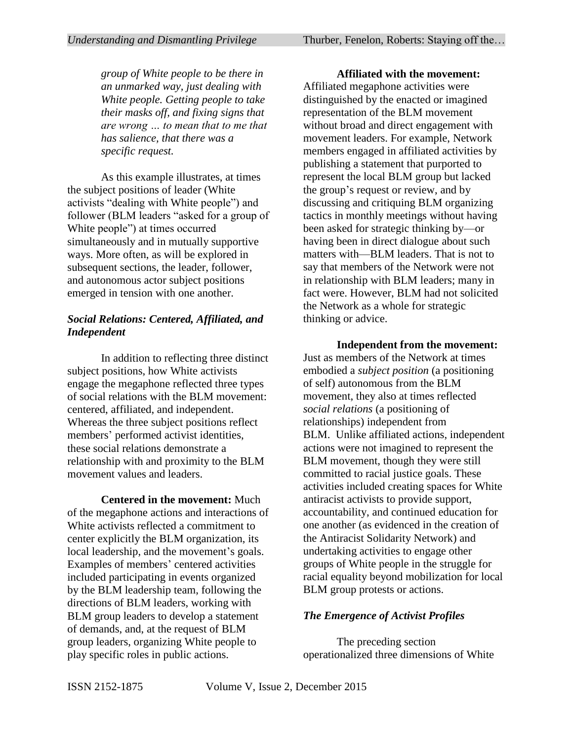*group of White people to be there in an unmarked way, just dealing with White people. Getting people to take their masks off, and fixing signs that are wrong … to mean that to me that has salience, that there was a specific request.*

As this example illustrates, at times the subject positions of leader (White activists "dealing with White people") and follower (BLM leaders "asked for a group of White people") at times occurred simultaneously and in mutually supportive ways. More often, as will be explored in subsequent sections, the leader, follower, and autonomous actor subject positions emerged in tension with one another.

## *Social Relations: Centered, Affiliated, and Independent*

In addition to reflecting three distinct subject positions, how White activists engage the megaphone reflected three types of social relations with the BLM movement: centered, affiliated, and independent. Whereas the three subject positions reflect members' performed activist identities, these social relations demonstrate a relationship with and proximity to the BLM movement values and leaders.

**Centered in the movement:** Much of the megaphone actions and interactions of White activists reflected a commitment to center explicitly the BLM organization, its local leadership, and the movement's goals. Examples of members' centered activities included participating in events organized by the BLM leadership team, following the directions of BLM leaders, working with BLM group leaders to develop a statement of demands, and, at the request of BLM group leaders, organizing White people to play specific roles in public actions.

**Affiliated with the movement:**  Affiliated megaphone activities were distinguished by the enacted or imagined representation of the BLM movement without broad and direct engagement with movement leaders. For example, Network members engaged in affiliated activities by publishing a statement that purported to represent the local BLM group but lacked the group's request or review, and by discussing and critiquing BLM organizing tactics in monthly meetings without having been asked for strategic thinking by—or having been in direct dialogue about such matters with—BLM leaders. That is not to say that members of the Network were not in relationship with BLM leaders; many in fact were. However, BLM had not solicited the Network as a whole for strategic thinking or advice.

**Independent from the movement:**  Just as members of the Network at times embodied a *subject position* (a positioning of self) autonomous from the BLM movement, they also at times reflected *social relations* (a positioning of relationships) independent from BLM. Unlike affiliated actions, independent actions were not imagined to represent the BLM movement, though they were still committed to racial justice goals. These activities included creating spaces for White antiracist activists to provide support, accountability, and continued education for one another (as evidenced in the creation of the Antiracist Solidarity Network) and undertaking activities to engage other groups of White people in the struggle for racial equality beyond mobilization for local BLM group protests or actions.

#### *The Emergence of Activist Profiles*

The preceding section operationalized three dimensions of White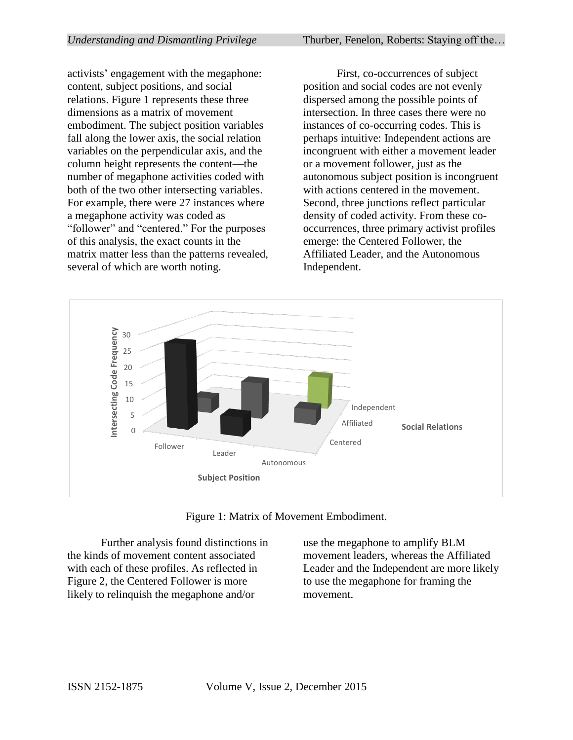activists' engagement with the megaphone: content, subject positions, and social relations. Figure 1 represents these three dimensions as a matrix of movement embodiment. The subject position variables fall along the lower axis, the social relation variables on the perpendicular axis, and the column height represents the content—the number of megaphone activities coded with both of the two other intersecting variables. For example, there were 27 instances where a megaphone activity was coded as "follower" and "centered." For the purposes of this analysis, the exact counts in the matrix matter less than the patterns revealed, several of which are worth noting.

First, co-occurrences of subject position and social codes are not evenly dispersed among the possible points of intersection. In three cases there were no instances of co-occurring codes. This is perhaps intuitive: Independent actions are incongruent with either a movement leader or a movement follower, just as the autonomous subject position is incongruent with actions centered in the movement. Second, three junctions reflect particular density of coded activity. From these cooccurrences, three primary activist profiles emerge: the Centered Follower, the Affiliated Leader, and the Autonomous Independent.





Further analysis found distinctions in the kinds of movement content associated with each of these profiles. As reflected in Figure 2, the Centered Follower is more likely to relinquish the megaphone and/or

use the megaphone to amplify BLM movement leaders, whereas the Affiliated Leader and the Independent are more likely to use the megaphone for framing the movement.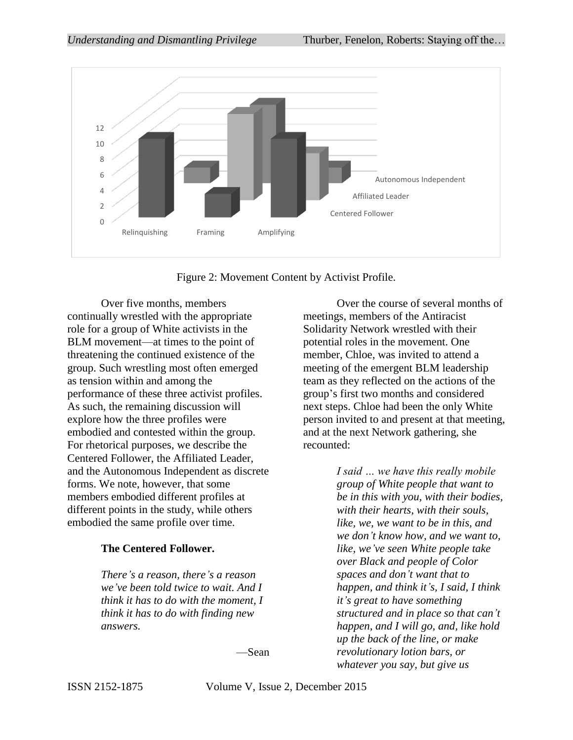

Figure 2: Movement Content by Activist Profile.

Over five months, members continually wrestled with the appropriate role for a group of White activists in the BLM movement—at times to the point of threatening the continued existence of the group. Such wrestling most often emerged as tension within and among the performance of these three activist profiles. As such, the remaining discussion will explore how the three profiles were embodied and contested within the group. For rhetorical purposes, we describe the Centered Follower, the Affiliated Leader, and the Autonomous Independent as discrete forms. We note, however, that some members embodied different profiles at different points in the study, while others embodied the same profile over time.

#### **The Centered Follower.**

*There's a reason, there's a reason we've been told twice to wait. And I think it has to do with the moment, I think it has to do with finding new answers.* 

—Sean

Over the course of several months of meetings, members of the Antiracist Solidarity Network wrestled with their potential roles in the movement. One member, Chloe, was invited to attend a meeting of the emergent BLM leadership team as they reflected on the actions of the group's first two months and considered next steps. Chloe had been the only White person invited to and present at that meeting, and at the next Network gathering, she recounted:

> *I said … we have this really mobile group of White people that want to be in this with you, with their bodies, with their hearts, with their souls, like, we, we want to be in this, and we don't know how, and we want to, like, we've seen White people take over Black and people of Color spaces and don't want that to happen, and think it's, I said, I think it's great to have something structured and in place so that can't happen, and I will go, and, like hold up the back of the line, or make revolutionary lotion bars, or whatever you say, but give us*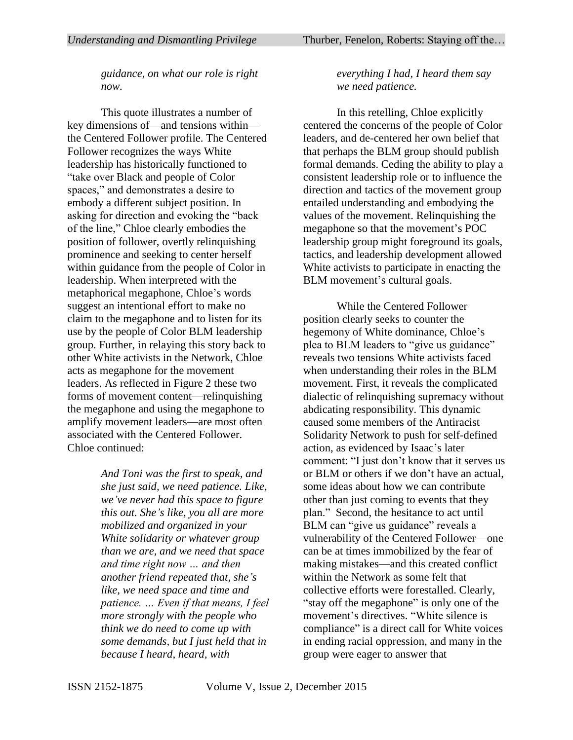*guidance, on what our role is right now.*

This quote illustrates a number of key dimensions of—and tensions within the Centered Follower profile. The Centered Follower recognizes the ways White leadership has historically functioned to "take over Black and people of Color spaces," and demonstrates a desire to embody a different subject position. In asking for direction and evoking the "back of the line," Chloe clearly embodies the position of follower, overtly relinquishing prominence and seeking to center herself within guidance from the people of Color in leadership. When interpreted with the metaphorical megaphone, Chloe's words suggest an intentional effort to make no claim to the megaphone and to listen for its use by the people of Color BLM leadership group. Further, in relaying this story back to other White activists in the Network, Chloe acts as megaphone for the movement leaders. As reflected in Figure 2 these two forms of movement content—relinquishing the megaphone and using the megaphone to amplify movement leaders—are most often associated with the Centered Follower. Chloe continued:

> *And Toni was the first to speak, and she just said, we need patience. Like, we've never had this space to figure this out. She's like, you all are more mobilized and organized in your White solidarity or whatever group than we are, and we need that space and time right now … and then another friend repeated that, she's like, we need space and time and patience. … Even if that means, I feel more strongly with the people who think we do need to come up with some demands, but I just held that in because I heard, heard, with*

#### *everything I had, I heard them say we need patience.*

In this retelling, Chloe explicitly centered the concerns of the people of Color leaders, and de-centered her own belief that that perhaps the BLM group should publish formal demands. Ceding the ability to play a consistent leadership role or to influence the direction and tactics of the movement group entailed understanding and embodying the values of the movement. Relinquishing the megaphone so that the movement's POC leadership group might foreground its goals, tactics, and leadership development allowed White activists to participate in enacting the BLM movement's cultural goals.

While the Centered Follower position clearly seeks to counter the hegemony of White dominance, Chloe's plea to BLM leaders to "give us guidance" reveals two tensions White activists faced when understanding their roles in the BLM movement. First, it reveals the complicated dialectic of relinquishing supremacy without abdicating responsibility. This dynamic caused some members of the Antiracist Solidarity Network to push for self-defined action, as evidenced by Isaac's later comment: "I just don't know that it serves us or BLM or others if we don't have an actual, some ideas about how we can contribute other than just coming to events that they plan." Second, the hesitance to act until BLM can "give us guidance" reveals a vulnerability of the Centered Follower—one can be at times immobilized by the fear of making mistakes—and this created conflict within the Network as some felt that collective efforts were forestalled. Clearly, "stay off the megaphone" is only one of the movement's directives. "White silence is compliance" is a direct call for White voices in ending racial oppression, and many in the group were eager to answer that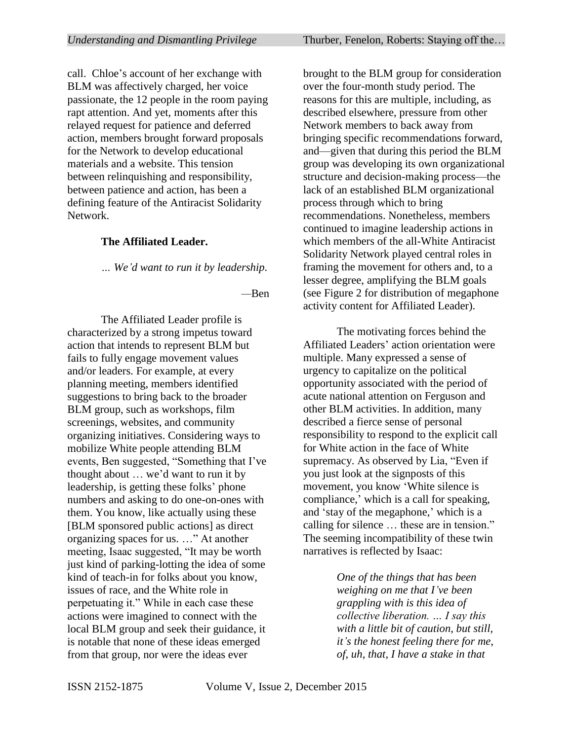call. Chloe's account of her exchange with BLM was affectively charged, her voice passionate, the 12 people in the room paying rapt attention. And yet, moments after this relayed request for patience and deferred action, members brought forward proposals for the Network to develop educational materials and a website. This tension between relinquishing and responsibility, between patience and action, has been a defining feature of the Antiracist Solidarity Network.

#### **The Affiliated Leader.**

*… We'd want to run it by leadership.* 

*—*Ben

The Affiliated Leader profile is characterized by a strong impetus toward action that intends to represent BLM but fails to fully engage movement values and/or leaders. For example, at every planning meeting, members identified suggestions to bring back to the broader BLM group, such as workshops, film screenings, websites, and community organizing initiatives. Considering ways to mobilize White people attending BLM events, Ben suggested, "Something that I've thought about … we'd want to run it by leadership, is getting these folks' phone numbers and asking to do one-on-ones with them. You know, like actually using these [BLM sponsored public actions] as direct organizing spaces for us. …" At another meeting, Isaac suggested, "It may be worth just kind of parking-lotting the idea of some kind of teach-in for folks about you know, issues of race, and the White role in perpetuating it." While in each case these actions were imagined to connect with the local BLM group and seek their guidance, it is notable that none of these ideas emerged from that group, nor were the ideas ever

brought to the BLM group for consideration over the four-month study period. The reasons for this are multiple, including, as described elsewhere, pressure from other Network members to back away from bringing specific recommendations forward, and—given that during this period the BLM group was developing its own organizational structure and decision-making process—the lack of an established BLM organizational process through which to bring recommendations. Nonetheless, members continued to imagine leadership actions in which members of the all-White Antiracist Solidarity Network played central roles in framing the movement for others and, to a lesser degree, amplifying the BLM goals (see Figure 2 for distribution of megaphone activity content for Affiliated Leader).

The motivating forces behind the Affiliated Leaders' action orientation were multiple. Many expressed a sense of urgency to capitalize on the political opportunity associated with the period of acute national attention on Ferguson and other BLM activities. In addition, many described a fierce sense of personal responsibility to respond to the explicit call for White action in the face of White supremacy. As observed by Lia, "Even if you just look at the signposts of this movement, you know 'White silence is compliance,' which is a call for speaking, and 'stay of the megaphone,' which is a calling for silence … these are in tension." The seeming incompatibility of these twin narratives is reflected by Isaac:

> *One of the things that has been weighing on me that I've been grappling with is this idea of collective liberation. … I say this with a little bit of caution, but still, it's the honest feeling there for me, of, uh, that, I have a stake in that*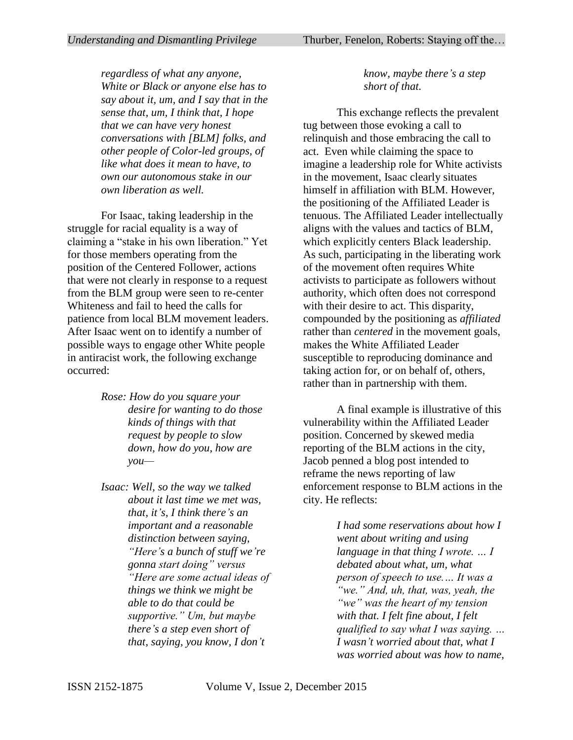*regardless of what any anyone, White or Black or anyone else has to say about it, um, and I say that in the sense that, um, I think that, I hope that we can have very honest conversations with [BLM] folks, and other people of Color-led groups, of like what does it mean to have, to own our autonomous stake in our own liberation as well.* 

For Isaac, taking leadership in the struggle for racial equality is a way of claiming a "stake in his own liberation." Yet for those members operating from the position of the Centered Follower, actions that were not clearly in response to a request from the BLM group were seen to re-center Whiteness and fail to heed the calls for patience from local BLM movement leaders. After Isaac went on to identify a number of possible ways to engage other White people in antiracist work, the following exchange occurred:

- *Rose: How do you square your desire for wanting to do those kinds of things with that request by people to slow down, how do you, how are you—*
- *Isaac: Well, so the way we talked about it last time we met was, that, it's, I think there's an important and a reasonable distinction between saying, "Here's a bunch of stuff we're gonna start doing" versus "Here are some actual ideas of things we think we might be able to do that could be supportive." Um, but maybe there's a step even short of that, saying, you know, I don't*

# *know, maybe there's a step short of that.*

This exchange reflects the prevalent tug between those evoking a call to relinquish and those embracing the call to act. Even while claiming the space to imagine a leadership role for White activists in the movement, Isaac clearly situates himself in affiliation with BLM. However, the positioning of the Affiliated Leader is tenuous. The Affiliated Leader intellectually aligns with the values and tactics of BLM, which explicitly centers Black leadership. As such, participating in the liberating work of the movement often requires White activists to participate as followers without authority, which often does not correspond with their desire to act. This disparity, compounded by the positioning as *affiliated*  rather than *centered* in the movement goals, makes the White Affiliated Leader susceptible to reproducing dominance and taking action for, or on behalf of, others, rather than in partnership with them.

A final example is illustrative of this vulnerability within the Affiliated Leader position. Concerned by skewed media reporting of the BLM actions in the city, Jacob penned a blog post intended to reframe the news reporting of law enforcement response to BLM actions in the city. He reflects:

> *I had some reservations about how I went about writing and using language in that thing I wrote. … I debated about what, um, what person of speech to use.… It was a "we." And, uh, that, was, yeah, the "we" was the heart of my tension with that. I felt fine about, I felt qualified to say what I was saying. … I wasn't worried about that, what I was worried about was how to name,*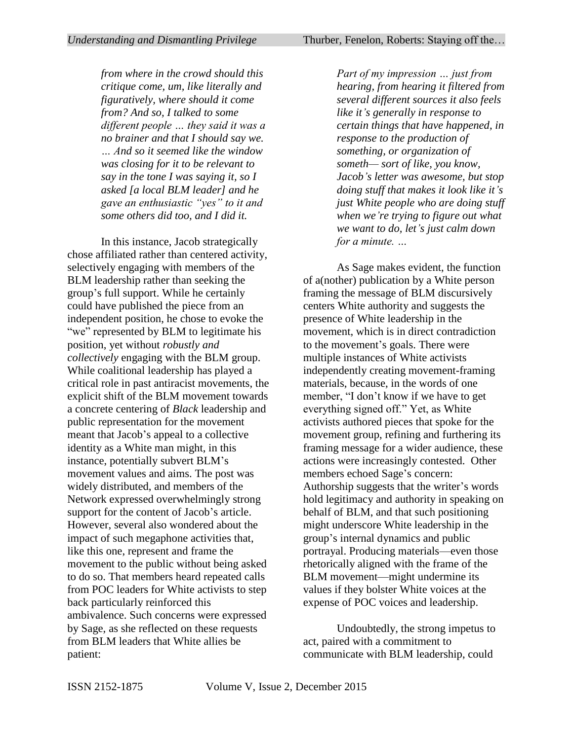*Understanding and Dismantling Privilege* Thurber, Fenelon, Roberts: Staying off the...

*from where in the crowd should this critique come, um, like literally and figuratively, where should it come from? And so, I talked to some different people … they said it was a no brainer and that I should say we. … And so it seemed like the window was closing for it to be relevant to say in the tone I was saying it, so I asked [a local BLM leader] and he gave an enthusiastic "yes" to it and some others did too, and I did it.* 

In this instance, Jacob strategically chose affiliated rather than centered activity, selectively engaging with members of the BLM leadership rather than seeking the group's full support. While he certainly could have published the piece from an independent position, he chose to evoke the "we" represented by BLM to legitimate his position, yet without *robustly and collectively* engaging with the BLM group. While coalitional leadership has played a critical role in past antiracist movements, the explicit shift of the BLM movement towards a concrete centering of *Black* leadership and public representation for the movement meant that Jacob's appeal to a collective identity as a White man might, in this instance, potentially subvert BLM's movement values and aims. The post was widely distributed, and members of the Network expressed overwhelmingly strong support for the content of Jacob's article. However, several also wondered about the impact of such megaphone activities that, like this one, represent and frame the movement to the public without being asked to do so. That members heard repeated calls from POC leaders for White activists to step back particularly reinforced this ambivalence. Such concerns were expressed by Sage, as she reflected on these requests from BLM leaders that White allies be patient:

*Part of my impression … just from hearing, from hearing it filtered from several different sources it also feels like it's generally in response to certain things that have happened, in response to the production of something, or organization of someth— sort of like, you know, Jacob's letter was awesome, but stop doing stuff that makes it look like it's just White people who are doing stuff when we're trying to figure out what we want to do, let's just calm down for a minute. …*

As Sage makes evident, the function of a(nother) publication by a White person framing the message of BLM discursively centers White authority and suggests the presence of White leadership in the movement, which is in direct contradiction to the movement's goals. There were multiple instances of White activists independently creating movement-framing materials, because, in the words of one member, "I don't know if we have to get everything signed off." Yet, as White activists authored pieces that spoke for the movement group, refining and furthering its framing message for a wider audience, these actions were increasingly contested. Other members echoed Sage's concern: Authorship suggests that the writer's words hold legitimacy and authority in speaking on behalf of BLM, and that such positioning might underscore White leadership in the group's internal dynamics and public portrayal. Producing materials—even those rhetorically aligned with the frame of the BLM movement—might undermine its values if they bolster White voices at the expense of POC voices and leadership.

Undoubtedly, the strong impetus to act, paired with a commitment to communicate with BLM leadership, could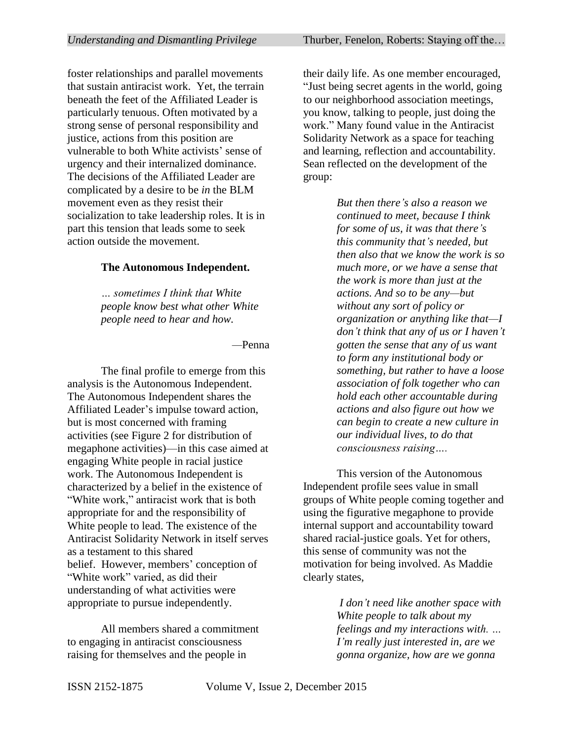foster relationships and parallel movements that sustain antiracist work. Yet, the terrain beneath the feet of the Affiliated Leader is particularly tenuous. Often motivated by a strong sense of personal responsibility and justice, actions from this position are vulnerable to both White activists' sense of urgency and their internalized dominance. The decisions of the Affiliated Leader are complicated by a desire to be *in* the BLM movement even as they resist their socialization to take leadership roles. It is in part this tension that leads some to seek action outside the movement.

#### **The Autonomous Independent.**

*… sometimes I think that White people know best what other White people need to hear and how.* 

*—*Penna

The final profile to emerge from this analysis is the Autonomous Independent. The Autonomous Independent shares the Affiliated Leader's impulse toward action, but is most concerned with framing activities (see Figure 2 for distribution of megaphone activities)—in this case aimed at engaging White people in racial justice work. The Autonomous Independent is characterized by a belief in the existence of "White work," antiracist work that is both appropriate for and the responsibility of White people to lead. The existence of the Antiracist Solidarity Network in itself serves as a testament to this shared belief. However, members' conception of "White work" varied, as did their understanding of what activities were appropriate to pursue independently.

All members shared a commitment to engaging in antiracist consciousness raising for themselves and the people in

their daily life. As one member encouraged, "Just being secret agents in the world, going to our neighborhood association meetings, you know, talking to people, just doing the work." Many found value in the Antiracist Solidarity Network as a space for teaching and learning, reflection and accountability. Sean reflected on the development of the group:

> *But then there's also a reason we continued to meet, because I think for some of us, it was that there's this community that's needed, but then also that we know the work is so much more, or we have a sense that the work is more than just at the actions. And so to be any—but without any sort of policy or organization or anything like that—I don't think that any of us or I haven't gotten the sense that any of us want to form any institutional body or something, but rather to have a loose association of folk together who can hold each other accountable during actions and also figure out how we can begin to create a new culture in our individual lives, to do that consciousness raising….*

This version of the Autonomous Independent profile sees value in small groups of White people coming together and using the figurative megaphone to provide internal support and accountability toward shared racial-justice goals. Yet for others, this sense of community was not the motivation for being involved. As Maddie clearly states,

> *I don't need like another space with White people to talk about my feelings and my interactions with. … I'm really just interested in, are we gonna organize, how are we gonna*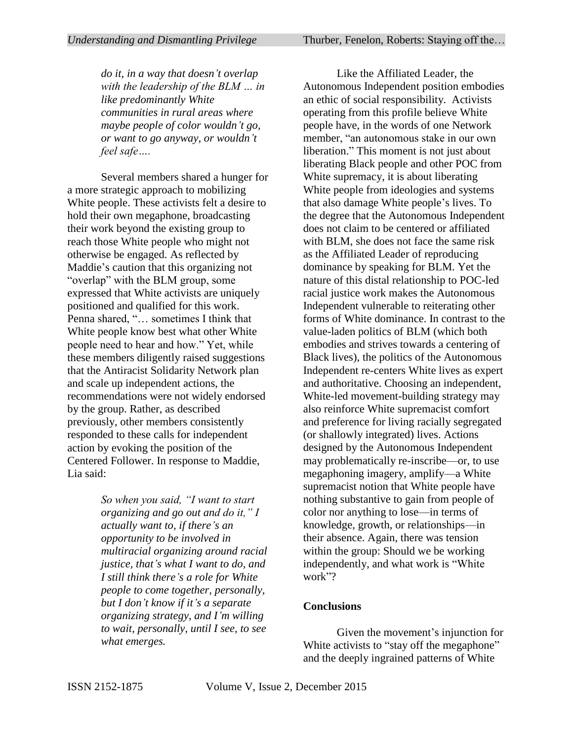*do it, in a way that doesn't overlap with the leadership of the BLM … in like predominantly White communities in rural areas where maybe people of color wouldn't go, or want to go anyway, or wouldn't feel safe….*

Several members shared a hunger for a more strategic approach to mobilizing White people. These activists felt a desire to hold their own megaphone, broadcasting their work beyond the existing group to reach those White people who might not otherwise be engaged. As reflected by Maddie's caution that this organizing not "overlap" with the BLM group, some expressed that White activists are uniquely positioned and qualified for this work. Penna shared, "… sometimes I think that White people know best what other White people need to hear and how." Yet, while these members diligently raised suggestions that the Antiracist Solidarity Network plan and scale up independent actions, the recommendations were not widely endorsed by the group. Rather, as described previously, other members consistently responded to these calls for independent action by evoking the position of the Centered Follower. In response to Maddie, Lia said:

> *So when you said, "I want to start organizing and go out and do it," I actually want to, if there's an opportunity to be involved in multiracial organizing around racial justice, that's what I want to do, and I still think there's a role for White people to come together, personally, but I don't know if it's a separate organizing strategy, and I'm willing to wait, personally, until I see, to see what emerges.*

Like the Affiliated Leader, the Autonomous Independent position embodies an ethic of social responsibility. Activists operating from this profile believe White people have, in the words of one Network member, "an autonomous stake in our own liberation." This moment is not just about liberating Black people and other POC from White supremacy, it is about liberating White people from ideologies and systems that also damage White people's lives. To the degree that the Autonomous Independent does not claim to be centered or affiliated with BLM, she does not face the same risk as the Affiliated Leader of reproducing dominance by speaking for BLM. Yet the nature of this distal relationship to POC-led racial justice work makes the Autonomous Independent vulnerable to reiterating other forms of White dominance. In contrast to the value-laden politics of BLM (which both embodies and strives towards a centering of Black lives), the politics of the Autonomous Independent re-centers White lives as expert and authoritative. Choosing an independent, White-led movement-building strategy may also reinforce White supremacist comfort and preference for living racially segregated (or shallowly integrated) lives. Actions designed by the Autonomous Independent may problematically re-inscribe—or, to use megaphoning imagery, amplify—a White supremacist notion that White people have nothing substantive to gain from people of color nor anything to lose—in terms of knowledge, growth, or relationships—in their absence. Again, there was tension within the group: Should we be working independently, and what work is "White work"?

#### **Conclusions**

Given the movement's injunction for White activists to "stay off the megaphone" and the deeply ingrained patterns of White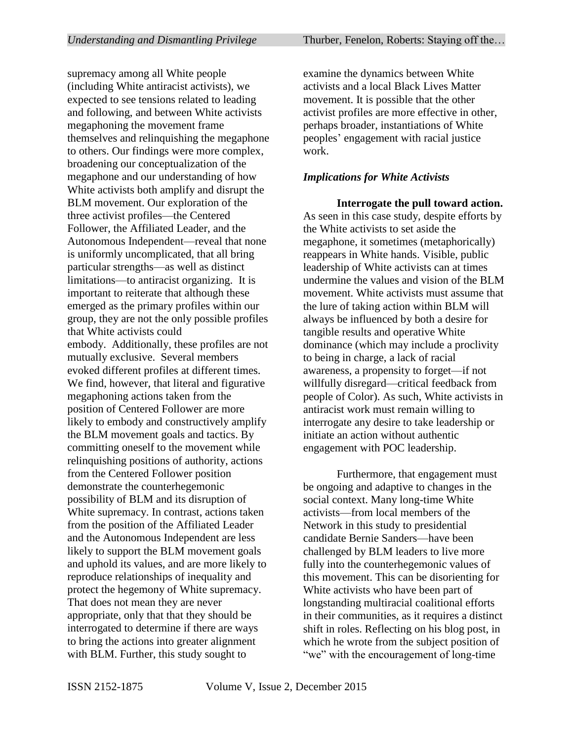supremacy among all White people (including White antiracist activists), we expected to see tensions related to leading and following, and between White activists megaphoning the movement frame themselves and relinquishing the megaphone to others. Our findings were more complex, broadening our conceptualization of the megaphone and our understanding of how White activists both amplify and disrupt the BLM movement. Our exploration of the three activist profiles—the Centered Follower, the Affiliated Leader, and the Autonomous Independent—reveal that none is uniformly uncomplicated, that all bring particular strengths—as well as distinct limitations—to antiracist organizing. It is important to reiterate that although these emerged as the primary profiles within our group, they are not the only possible profiles that White activists could embody. Additionally, these profiles are not mutually exclusive. Several members evoked different profiles at different times. We find, however, that literal and figurative megaphoning actions taken from the position of Centered Follower are more likely to embody and constructively amplify the BLM movement goals and tactics. By committing oneself to the movement while relinquishing positions of authority, actions from the Centered Follower position demonstrate the counterhegemonic possibility of BLM and its disruption of White supremacy. In contrast, actions taken from the position of the Affiliated Leader and the Autonomous Independent are less likely to support the BLM movement goals and uphold its values, and are more likely to reproduce relationships of inequality and protect the hegemony of White supremacy. That does not mean they are never appropriate, only that that they should be interrogated to determine if there are ways to bring the actions into greater alignment with BLM. Further, this study sought to

examine the dynamics between White activists and a local Black Lives Matter movement. It is possible that the other activist profiles are more effective in other, perhaps broader, instantiations of White peoples' engagement with racial justice work.

#### *Implications for White Activists*

**Interrogate the pull toward action.**  As seen in this case study, despite efforts by the White activists to set aside the megaphone, it sometimes (metaphorically) reappears in White hands. Visible, public leadership of White activists can at times undermine the values and vision of the BLM movement. White activists must assume that the lure of taking action within BLM will always be influenced by both a desire for tangible results and operative White dominance (which may include a proclivity to being in charge, a lack of racial awareness, a propensity to forget—if not willfully disregard—critical feedback from people of Color). As such, White activists in antiracist work must remain willing to interrogate any desire to take leadership or initiate an action without authentic engagement with POC leadership.

Furthermore, that engagement must be ongoing and adaptive to changes in the social context. Many long-time White activists—from local members of the Network in this study to presidential candidate Bernie Sanders—have been challenged by BLM leaders to live more fully into the counterhegemonic values of this movement. This can be disorienting for White activists who have been part of longstanding multiracial coalitional efforts in their communities, as it requires a distinct shift in roles. Reflecting on his blog post, in which he wrote from the subject position of "we" with the encouragement of long-time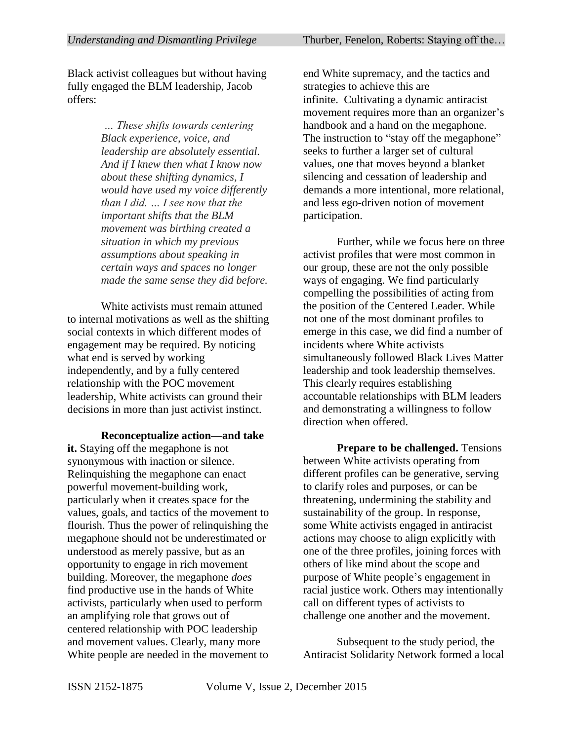Black activist colleagues but without having fully engaged the BLM leadership, Jacob offers:

> *… These shifts towards centering Black experience, voice, and leadership are absolutely essential. And if I knew then what I know now about these shifting dynamics, I would have used my voice differently than I did. … I see now that the important shifts that the BLM movement was birthing created a situation in which my previous assumptions about speaking in certain ways and spaces no longer made the same sense they did before.*

White activists must remain attuned to internal motivations as well as the shifting social contexts in which different modes of engagement may be required. By noticing what end is served by working independently, and by a fully centered relationship with the POC movement leadership, White activists can ground their decisions in more than just activist instinct.

**Reconceptualize action—and take it.** Staying off the megaphone is not synonymous with inaction or silence. Relinquishing the megaphone can enact powerful movement-building work, particularly when it creates space for the values, goals, and tactics of the movement to flourish. Thus the power of relinquishing the megaphone should not be underestimated or understood as merely passive, but as an opportunity to engage in rich movement building. Moreover, the megaphone *does* find productive use in the hands of White activists, particularly when used to perform an amplifying role that grows out of centered relationship with POC leadership and movement values. Clearly, many more White people are needed in the movement to end White supremacy, and the tactics and strategies to achieve this are infinite. Cultivating a dynamic antiracist movement requires more than an organizer's handbook and a hand on the megaphone. The instruction to "stay off the megaphone" seeks to further a larger set of cultural values, one that moves beyond a blanket silencing and cessation of leadership and demands a more intentional, more relational, and less ego-driven notion of movement participation.

Further, while we focus here on three activist profiles that were most common in our group, these are not the only possible ways of engaging. We find particularly compelling the possibilities of acting from the position of the Centered Leader. While not one of the most dominant profiles to emerge in this case, we did find a number of incidents where White activists simultaneously followed Black Lives Matter leadership and took leadership themselves. This clearly requires establishing accountable relationships with BLM leaders and demonstrating a willingness to follow direction when offered.

**Prepare to be challenged.** Tensions between White activists operating from different profiles can be generative, serving to clarify roles and purposes, or can be threatening, undermining the stability and sustainability of the group. In response, some White activists engaged in antiracist actions may choose to align explicitly with one of the three profiles, joining forces with others of like mind about the scope and purpose of White people's engagement in racial justice work. Others may intentionally call on different types of activists to challenge one another and the movement.

Subsequent to the study period, the Antiracist Solidarity Network formed a local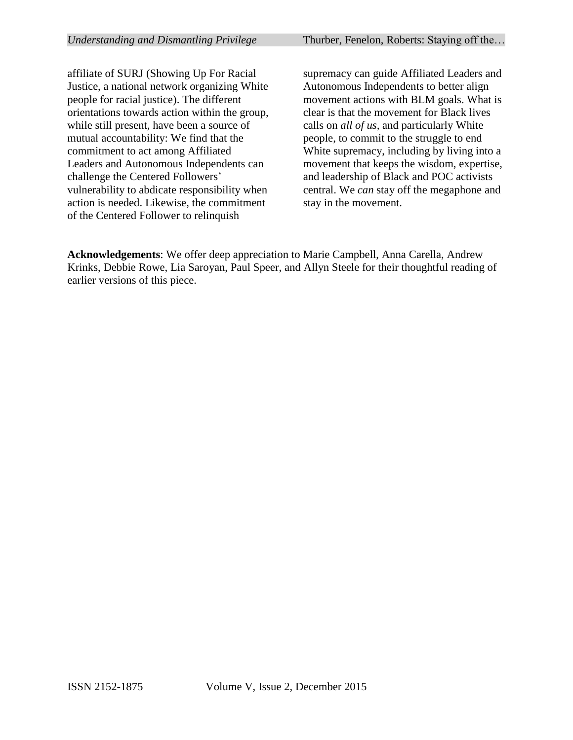affiliate of SURJ (Showing Up For Racial Justice, a national network organizing White people for racial justice). The different orientations towards action within the group, while still present, have been a source of mutual accountability: We find that the commitment to act among Affiliated Leaders and Autonomous Independents can challenge the Centered Followers' vulnerability to abdicate responsibility when action is needed. Likewise, the commitment of the Centered Follower to relinquish

supremacy can guide Affiliated Leaders and Autonomous Independents to better align movement actions with BLM goals. What is clear is that the movement for Black lives calls on *all of us,* and particularly White people, to commit to the struggle to end White supremacy, including by living into a movement that keeps the wisdom, expertise, and leadership of Black and POC activists central. We *can* stay off the megaphone and stay in the movement.

**Acknowledgements**: We offer deep appreciation to Marie Campbell, Anna Carella, Andrew Krinks, Debbie Rowe, Lia Saroyan, Paul Speer, and Allyn Steele for their thoughtful reading of earlier versions of this piece.